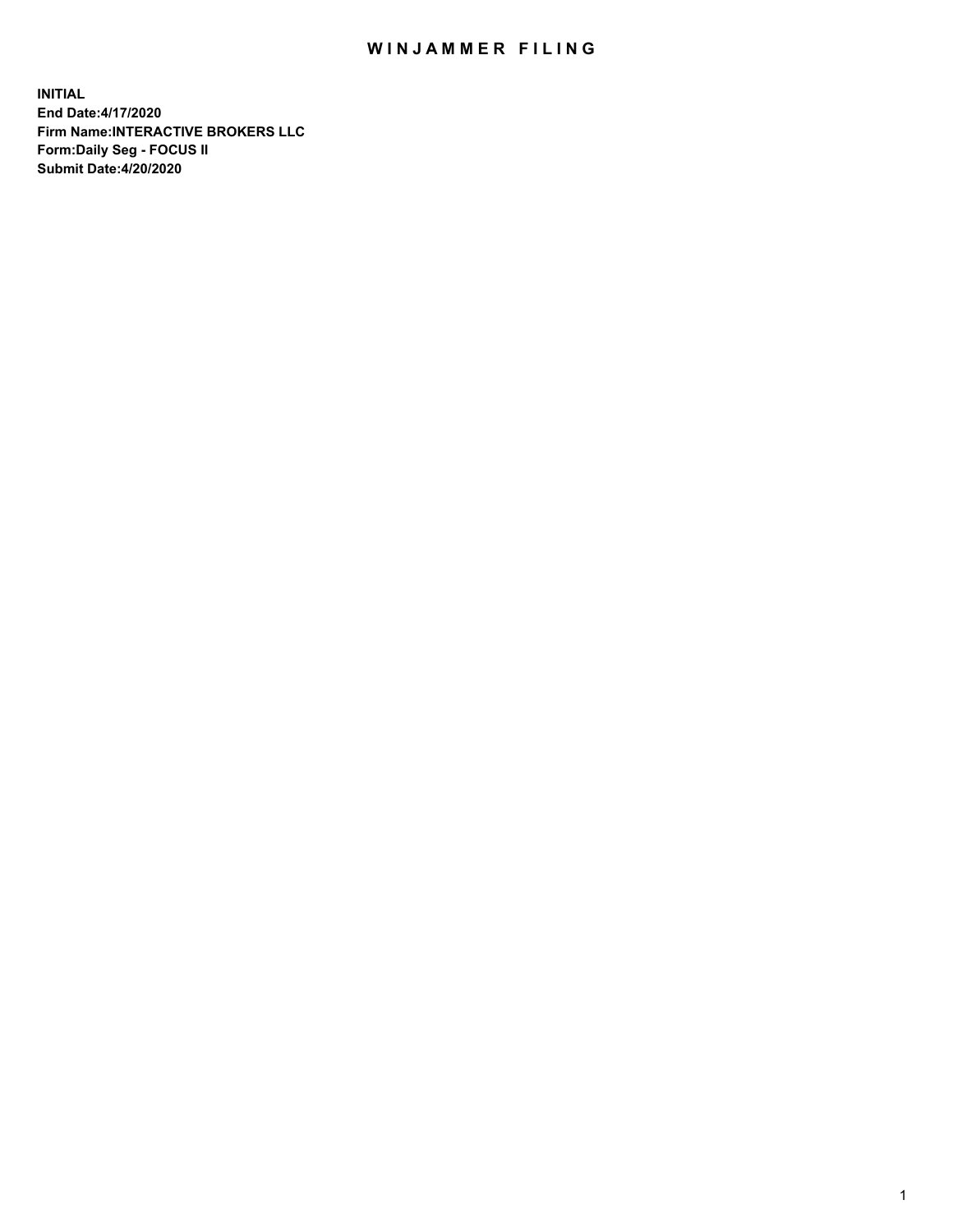## WIN JAMMER FILING

**INITIAL End Date:4/17/2020 Firm Name:INTERACTIVE BROKERS LLC Form:Daily Seg - FOCUS II Submit Date:4/20/2020**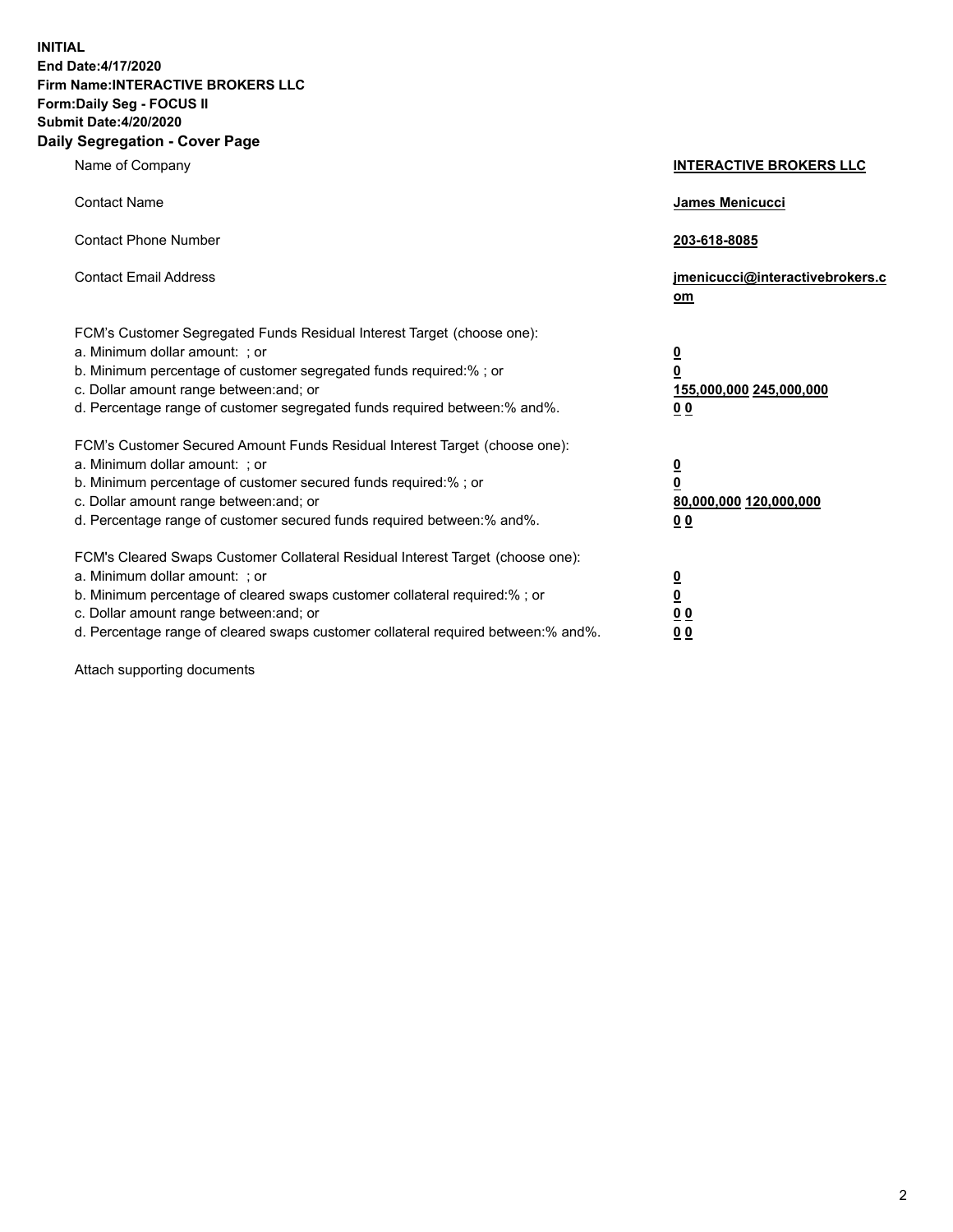**INITIAL End Date:4/17/2020 Firm Name:INTERACTIVE BROKERS LLC Form:Daily Seg - FOCUS II Submit Date:4/20/2020 Daily Segregation - Cover Page**

| Name of Company                                                                                                                                                                                                                                                                                                               | <b>INTERACTIVE BROKERS LLC</b>                                                                  |  |
|-------------------------------------------------------------------------------------------------------------------------------------------------------------------------------------------------------------------------------------------------------------------------------------------------------------------------------|-------------------------------------------------------------------------------------------------|--|
| <b>Contact Name</b>                                                                                                                                                                                                                                                                                                           | James Menicucci                                                                                 |  |
| <b>Contact Phone Number</b>                                                                                                                                                                                                                                                                                                   | 203-618-8085                                                                                    |  |
| <b>Contact Email Address</b>                                                                                                                                                                                                                                                                                                  | jmenicucci@interactivebrokers.c<br><u>om</u>                                                    |  |
| FCM's Customer Segregated Funds Residual Interest Target (choose one):<br>a. Minimum dollar amount: ; or<br>b. Minimum percentage of customer segregated funds required:% ; or<br>c. Dollar amount range between: and; or<br>d. Percentage range of customer segregated funds required between:% and%.                        | $\overline{\mathbf{0}}$<br>$\overline{\mathbf{0}}$<br>155,000,000 245,000,000<br>0 <sub>0</sub> |  |
| FCM's Customer Secured Amount Funds Residual Interest Target (choose one):<br>a. Minimum dollar amount: ; or<br>b. Minimum percentage of customer secured funds required:%; or<br>c. Dollar amount range between: and; or<br>d. Percentage range of customer secured funds required between:% and%.                           | $\overline{\mathbf{0}}$<br>$\overline{\mathbf{0}}$<br>80,000,000 120,000,000<br>0 <sub>0</sub>  |  |
| FCM's Cleared Swaps Customer Collateral Residual Interest Target (choose one):<br>a. Minimum dollar amount: ; or<br>b. Minimum percentage of cleared swaps customer collateral required:%; or<br>c. Dollar amount range between: and; or<br>d. Percentage range of cleared swaps customer collateral required between:% and%. | $\overline{\mathbf{0}}$<br>$\overline{\mathbf{0}}$<br>0 <sub>0</sub><br>0 <sub>0</sub>          |  |

Attach supporting documents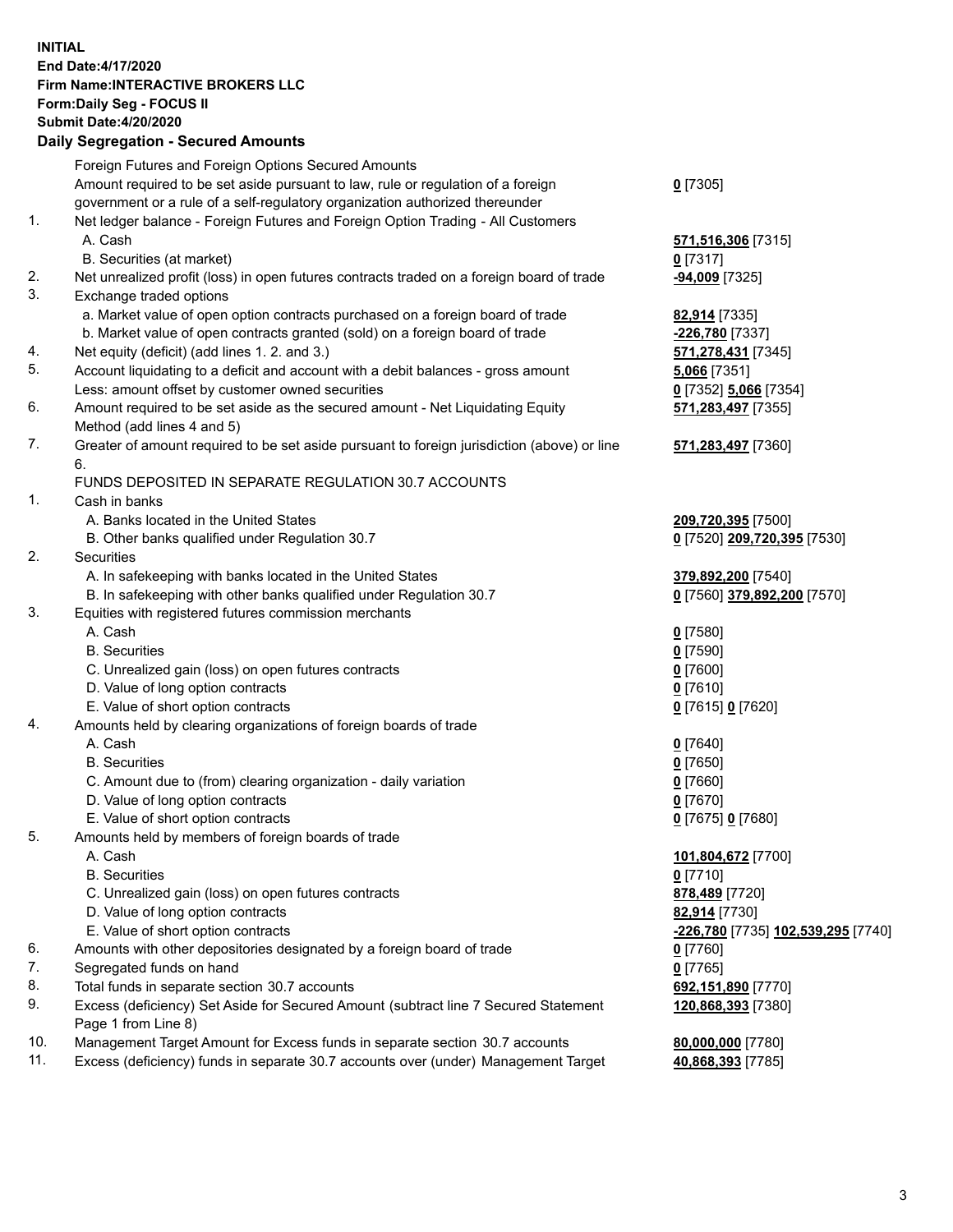**INITIAL End Date:4/17/2020 Firm Name:INTERACTIVE BROKERS LLC Form:Daily Seg - FOCUS II Submit Date:4/20/2020 Daily Segregation - Secured Amounts**

## Foreign Futures and Foreign Options Secured Amounts Amount required to be set aside pursuant to law, rule or regulation of a foreign government or a rule of a self-regulatory organization authorized thereunder **0** [7305] 1. Net ledger balance - Foreign Futures and Foreign Option Trading - All Customers A. Cash **571,516,306** [7315] B. Securities (at market) **0** [7317] 2. Net unrealized profit (loss) in open futures contracts traded on a foreign board of trade **-94,009** [7325] 3. Exchange traded options a. Market value of open option contracts purchased on a foreign board of trade **82,914** [7335] b. Market value of open contracts granted (sold) on a foreign board of trade **-226,780** [7337] 4. Net equity (deficit) (add lines 1. 2. and 3.) **571,278,431** [7345] 5. Account liquidating to a deficit and account with a debit balances - gross amount **5,066** [7351] Less: amount offset by customer owned securities **0** [7352] **5,066** [7354] 6. Amount required to be set aside as the secured amount - Net Liquidating Equity Method (add lines 4 and 5) **571,283,497** [7355] 7. Greater of amount required to be set aside pursuant to foreign jurisdiction (above) or line 6. **571,283,497** [7360] FUNDS DEPOSITED IN SEPARATE REGULATION 30.7 ACCOUNTS 1. Cash in banks A. Banks located in the United States **209,720,395** [7500] B. Other banks qualified under Regulation 30.7 **0** [7520] **209,720,395** [7530] 2. Securities A. In safekeeping with banks located in the United States **379,892,200** [7540] B. In safekeeping with other banks qualified under Regulation 30.7 **0** [7560] **379,892,200** [7570] 3. Equities with registered futures commission merchants A. Cash **0** [7580] B. Securities **0** [7590] C. Unrealized gain (loss) on open futures contracts **0** [7600] D. Value of long option contracts **0** [7610] E. Value of short option contracts **0** [7615] **0** [7620] 4. Amounts held by clearing organizations of foreign boards of trade A. Cash **0** [7640] B. Securities **0** [7650] C. Amount due to (from) clearing organization - daily variation **0** [7660] D. Value of long option contracts **0** [7670] E. Value of short option contracts **0** [7675] **0** [7680] 5. Amounts held by members of foreign boards of trade A. Cash **101,804,672** [7700] B. Securities **0** [7710] C. Unrealized gain (loss) on open futures contracts **878,489** [7720] D. Value of long option contracts **82,914** [7730] E. Value of short option contracts **-226,780** [7735] **102,539,295** [7740] 6. Amounts with other depositories designated by a foreign board of trade **0** [7760] 7. Segregated funds on hand **0** [7765] 8. Total funds in separate section 30.7 accounts **692,151,890** [7770] 9. Excess (deficiency) Set Aside for Secured Amount (subtract line 7 Secured Statement Page 1 from Line 8) **120,868,393** [7380] 10. Management Target Amount for Excess funds in separate section 30.7 accounts **80,000,000** [7780] 11. Excess (deficiency) funds in separate 30.7 accounts over (under) Management Target **40,868,393** [7785]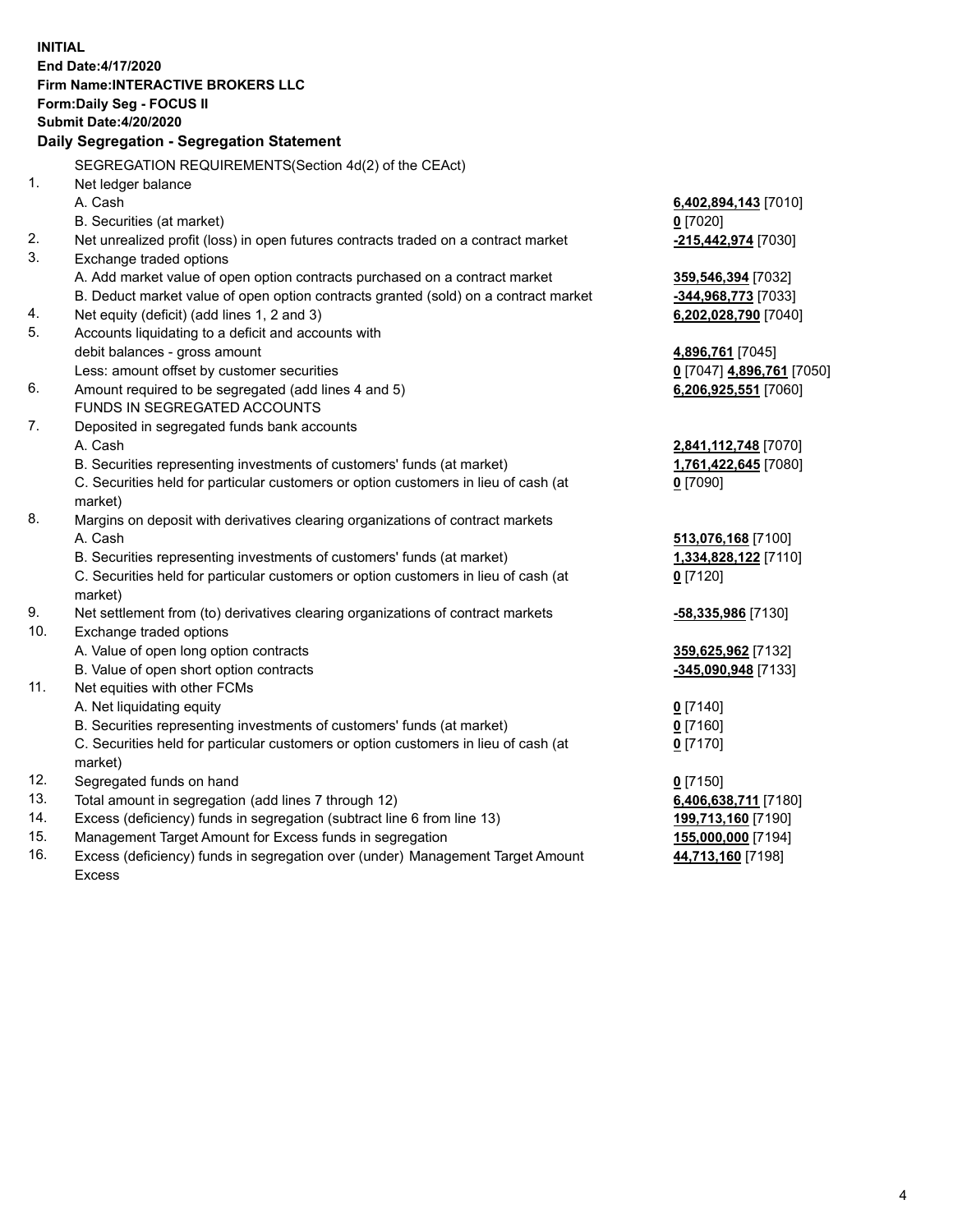**INITIAL End Date:4/17/2020 Firm Name:INTERACTIVE BROKERS LLC Form:Daily Seg - FOCUS II Submit Date:4/20/2020 Daily Segregation - Segregation Statement** SEGREGATION REQUIREMENTS(Section 4d(2) of the CEAct) 1. Net ledger balance A. Cash **6,402,894,143** [7010] B. Securities (at market) **0** [7020] 2. Net unrealized profit (loss) in open futures contracts traded on a contract market **-215,442,974** [7030] 3. Exchange traded options A. Add market value of open option contracts purchased on a contract market **359,546,394** [7032] B. Deduct market value of open option contracts granted (sold) on a contract market **-344,968,773** [7033] 4. Net equity (deficit) (add lines 1, 2 and 3) **6,202,028,790** [7040] 5. Accounts liquidating to a deficit and accounts with debit balances - gross amount **4,896,761** [7045] Less: amount offset by customer securities **0** [7047] **4,896,761** [7050] 6. Amount required to be segregated (add lines 4 and 5) **6,206,925,551** [7060] FUNDS IN SEGREGATED ACCOUNTS 7. Deposited in segregated funds bank accounts A. Cash **2,841,112,748** [7070] B. Securities representing investments of customers' funds (at market) **1,761,422,645** [7080] C. Securities held for particular customers or option customers in lieu of cash (at market) **0** [7090] 8. Margins on deposit with derivatives clearing organizations of contract markets A. Cash **513,076,168** [7100] B. Securities representing investments of customers' funds (at market) **1,334,828,122** [7110] C. Securities held for particular customers or option customers in lieu of cash (at market) **0** [7120] 9. Net settlement from (to) derivatives clearing organizations of contract markets **-58,335,986** [7130] 10. Exchange traded options A. Value of open long option contracts **359,625,962** [7132] B. Value of open short option contracts **-345,090,948** [7133] 11. Net equities with other FCMs A. Net liquidating equity **0** [7140] B. Securities representing investments of customers' funds (at market) **0** [7160] C. Securities held for particular customers or option customers in lieu of cash (at market) **0** [7170] 12. Segregated funds on hand **0** [7150] 13. Total amount in segregation (add lines 7 through 12) **6,406,638,711** [7180] 14. Excess (deficiency) funds in segregation (subtract line 6 from line 13) **199,713,160** [7190] 15. Management Target Amount for Excess funds in segregation **155,000,000** [7194] 16. Excess (deficiency) funds in segregation over (under) Management Target Amount **44,713,160** [7198]

Excess